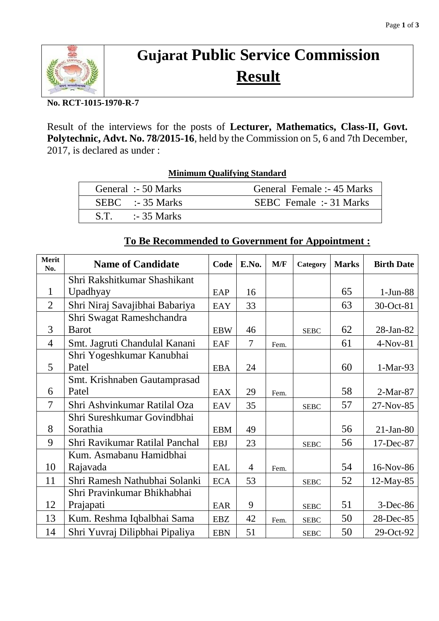

# **Gujarat Public Service Commission Result**

#### **No. RCT-1015-1970-R-7**

Result of the interviews for the posts of **Lecturer, Mathematics, Class-II, Govt. Polytechnic, Advt. No. 78/2015-16**, held by the Commission on 5, 6 and 7th December, 2017, is declared as under :

| <b>Minimum Qualifying Standard</b> |                                |  |  |  |  |  |
|------------------------------------|--------------------------------|--|--|--|--|--|
| General :- 50 Marks                | General Female :- 45 Marks     |  |  |  |  |  |
| $SEBC$ :-35 Marks                  | <b>SEBC</b> Female :- 31 Marks |  |  |  |  |  |
| $S.T.$ :-35 Marks                  |                                |  |  |  |  |  |

#### **Merit No. Name of Candidate Code E.No. M/F Category Marks Birth Date** 1 Shri Rakshitkumar Shashikant Upadhyay  $EAP$  16  $\mid$  65  $\mid$  1-Jun-88 2 Shri Niraj Savajibhai Babariya  $|$  EAY  $|$  33  $|$   $|$   $|$  53  $|$  30-Oct-81 3 Shri Swagat Rameshchandra Barot  $\begin{array}{|c|c|c|c|c|c|c|c|c|c|c|c|} \hline \text{Baw} & 46 & & \text{SEBC} & 62 & 28\text{-Jan-82} \hline \end{array}$ 4 | Smt. Jagruti Chandulal Kanani | EAF | 7 | Fem. | 61 | 4-Nov-81 5 Shri Yogeshkumar Kanubhai Patel  $|$  EBA  $|$  24  $|$   $|$  60  $|$  1-Mar-93 6 Smt. Krishnaben Gautamprasad Patel  $|$  EAX  $|$  29  $|$  Fem.  $|$  58  $|$  2-Mar-87 7 Shri Ashvinkumar Ratilal Oza  $|BAV|$  35  $|S||$  SEBC  $|57|$  27-Nov-85 8 Shri Sureshkumar Govindbhai Sorathia EBM 49 56 21-Jan-80 9 Shri Ravikumar Ratilal Panchal EBJ 23 SEBC 56 17-Dec-87 10 Kum. Asmabanu Hamidbhai Rajavada EAL 4 Fem. 54 16-Nov-86 11 | Shri Ramesh Nathubhai Solanki  $|_{ECA}$  | 53 |  $|_{SEBC}$  | 52 | 12-May-85 12 Shri Pravinkumar Bhikhabhai Prajapati  $|EAR | 9 |$  SEBC 51 3-Dec-86 13 | Kum. Reshma Iqbalbhai Sama | EBZ | 42 | Fem. | SEBC | 50 | 28-Dec-85 14 | Shri Yuvraj Dilipbhai Pipaliya | EBN | 51 | | | | | | | | | | 29-Oct-92

#### **To Be Recommended to Government for Appointment :**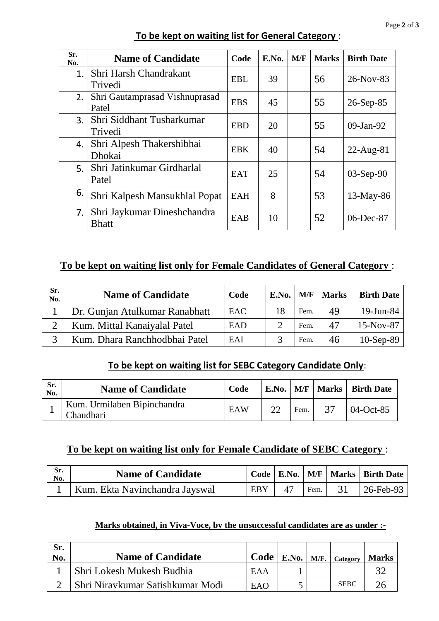| Sr.<br>No. | <b>Name of Candidate</b>                    | Code       | E.No. | M/F | <b>Marks</b> | <b>Birth Date</b> |
|------------|---------------------------------------------|------------|-------|-----|--------------|-------------------|
| 1.         | Shri Harsh Chandrakant<br>Trivedi           | <b>EBL</b> | 39    |     | 56           | 26-Nov-83         |
| 2.         | Shri Gautamprasad Vishnuprasad<br>Patel     | <b>EBS</b> | 45    |     | 55           | $26-Sep-85$       |
| 3.         | Shri Siddhant Tusharkumar<br>Trivedi        | <b>EBD</b> | 20    |     | 55           | $09$ -Jan-92      |
| 4.         | Shri Alpesh Thakershibhai<br>Dhokai         | <b>EBK</b> | 40    |     | 54           | $22$ -Aug-81      |
| 5.         | Shri Jatinkumar Girdharlal<br>Patel         | <b>EAT</b> | 25    |     | 54           | $03-Sep-90$       |
| 6.         | Shri Kalpesh Mansukhlal Popat               | EAH        | 8     |     | 53           | $13$ -May-86      |
| 7.         | Shri Jaykumar Dineshchandra<br><b>Bhatt</b> | EAB        | 10    |     | 52           | 06-Dec-87         |

## **To be kept on waiting list for General Category** :

# **To be kept on waiting list only for Female Candidates of General Category** :

| Sr.<br>No. | <b>Name of Candidate</b>       | Code | E.No. | M/F  | <b>Marks</b> | <b>Birth Date</b> |
|------------|--------------------------------|------|-------|------|--------------|-------------------|
|            | Dr. Gunjan Atulkumar Ranabhatt | EAC. | 18    | Fem. | 49           | $19$ -Jun-84      |
|            | Kum. Mittal Kanaiyalal Patel   | EAD  |       | Fem. | 47           | $15-Nov-87$       |
|            | Kum. Dhara Ranchhodbhai Patel  | EAI  |       | Fem. | 46           | $10-Sep-89$       |

# **To be kept on waiting list for SEBC Category Candidate Only**:

| Sr.<br>No. | <b>Name of Candidate</b>                 | Code |      | E.No.   M/F   Marks   Birth Date |
|------------|------------------------------------------|------|------|----------------------------------|
|            | Kum. Urmilaben Bipinchandra<br>Chaudhari | EAW  | Fem. | 04-Oct-85                        |

## **To be kept on waiting list only for Female Candidate of SEBC Category** :

| Sr.<br>No. | <b>Name of Candidate</b>       |     |            |      | Code   E.No.   M/F   Marks   Birth Date |
|------------|--------------------------------|-----|------------|------|-----------------------------------------|
|            | Kum. Ekta Navinchandra Jayswal | EBY | $\Delta$ 7 | Fem. | 26-Feb-93                               |

#### **Marks obtained, in Viva-Voce, by the unsuccessful candidates are as under :-**

| Sr.<br>No. | <b>Name of Candidate</b>         |      |  | $\vert$ Code   E.No.   M/F.   Category | <b>Marks</b> |
|------------|----------------------------------|------|--|----------------------------------------|--------------|
|            | Shri Lokesh Mukesh Budhia        | EA A |  |                                        |              |
|            | Shri Niravkumar Satishkumar Modi | EAO  |  | <b>SEBC</b>                            |              |